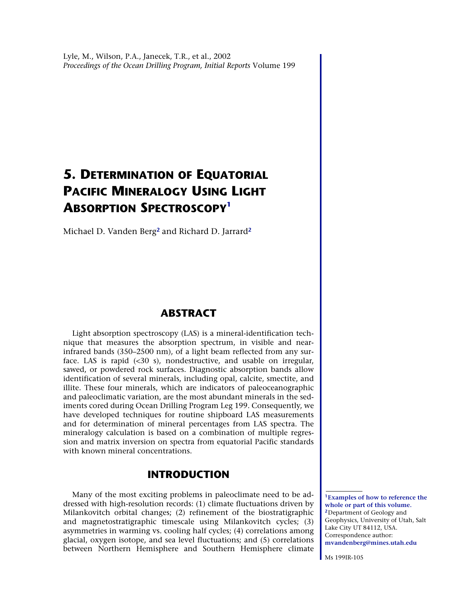# <span id="page-0-2"></span>**5. DETERMINATION OF EQUATORIAL PACIFIC MINERALOGY USING LIGHT ABSORPTION SPECTROSCOP[Y1](#page-0-0)**

Michael D. Vanden Berg**[2](#page-0-1)** and Richard D. Jarrard**[2](#page-0-1)**

# **ABSTRACT**

Light absorption spectroscopy (LAS) is a mineral-identification technique that measures the absorption spectrum, in visible and nearinfrared bands (350–2500 nm), of a light beam reflected from any surface. LAS is rapid (<30 s), nondestructive, and usable on irregular, sawed, or powdered rock surfaces. Diagnostic absorption bands allow identification of several minerals, including opal, calcite, smectite, and illite. These four minerals, which are indicators of paleoceanographic and paleoclimatic variation, are the most abundant minerals in the sediments cored during Ocean Drilling Program Leg 199. Consequently, we have developed techniques for routine shipboard LAS measurements and for determination of mineral percentages from LAS spectra. The mineralogy calculation is based on a combination of multiple regression and matrix inversion on spectra from equatorial Pacific standards with known mineral concentrations.

# **INTRODUCTION**

Many of the most exciting problems in paleoclimate need to be addressed with high-resolution records: (1) climate fluctuations driven by Milankovitch orbital changes; (2) refinement of the biostratigraphic and magnetostratigraphic timescale using Milankovitch cycles; (3) asymmetries in warming vs. cooling half cycles; (4) correlations among glacial, oxygen isotope, and sea level fluctuations; and (5) correlations between Northern Hemisphere and Southern Hemisphere climate

<span id="page-0-1"></span><span id="page-0-0"></span>**<sup>1</sup>[Examples of how to reference the](#page-2-0)  [whole or part of this volume.](#page-2-0) <sup>2</sup>**Department of Geology and Geophysics, University of Utah, Salt Lake City UT 84112, USA. Correspondence author: **[mvandenberg@mines.utah.edu](mailto:mvandenberg@mines.utah.edu)**

Ms 199IR-105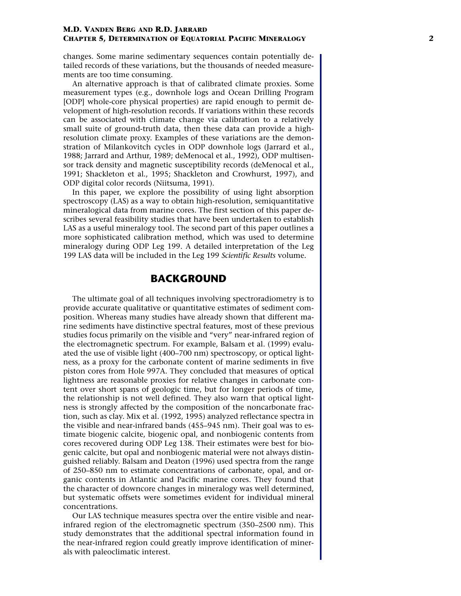changes. Some marine sedimentary sequences contain potentially detailed records of these variations, but the thousands of needed measurements are too time consuming.

An alternative approach is that of calibrated climate proxies. Some measurement types (e.g., downhole logs and Ocean Drilling Program [ODP] whole-core physical properties) are rapid enough to permit development of high-resolution records. If variations within these records can be associated with climate change via calibration to a relatively small suite of ground-truth data, then these data can provide a highresolution climate proxy. Examples of these variations are the demonstration of Milankovitch cycles in ODP downhole logs (Jarrard et al., 1988; Jarrard and Arthur, 1989; deMenocal et al., 1992), ODP multisensor track density and magnetic susceptibility records (deMenocal et al., 1991; Shackleton et al., 1995; Shackleton and Crowhurst, 1997), and ODP digital color records (Niitsuma, 1991).

In this paper, we explore the possibility of using light absorption spectroscopy (LAS) as a way to obtain high-resolution, semiquantitative mineralogical data from marine cores. The first section of this paper describes several feasibility studies that have been undertaken to establish LAS as a useful mineralogy tool. The second part of this paper outlines a more sophisticated calibration method, which was used to determine mineralogy during ODP Leg 199. A detailed interpretation of the Leg 199 LAS data will be included in the Leg 199 *Scientific Results* volume.

### **BACKGROUND**

The ultimate goal of all techniques involving spectroradiometry is to provide accurate qualitative or quantitative estimates of sediment composition. Whereas many studies have already shown that different marine sediments have distinctive spectral features, most of these previous studies focus primarily on the visible and "very" near-infrared region of the electromagnetic spectrum. For example, Balsam et al. (1999) evaluated the use of visible light (400–700 nm) spectroscopy, or optical lightness, as a proxy for the carbonate content of marine sediments in five piston cores from Hole 997A. They concluded that measures of optical lightness are reasonable proxies for relative changes in carbonate content over short spans of geologic time, but for longer periods of time, the relationship is not well defined. They also warn that optical lightness is strongly affected by the composition of the noncarbonate fraction, such as clay. Mix et al. (1992, 1995) analyzed reflectance spectra in the visible and near-infrared bands (455–945 nm). Their goal was to estimate biogenic calcite, biogenic opal, and nonbiogenic contents from cores recovered during ODP Leg 138. Their estimates were best for biogenic calcite, but opal and nonbiogenic material were not always distinguished reliably. Balsam and Deaton (1996) used spectra from the range of 250–850 nm to estimate concentrations of carbonate, opal, and organic contents in Atlantic and Pacific marine cores. They found that the character of downcore changes in mineralogy was well determined, but systematic offsets were sometimes evident for individual mineral concentrations.

Our LAS technique measures spectra over the entire visible and nearinfrared region of the electromagnetic spectrum (350–2500 nm). This study demonstrates that the additional spectral information found in the near-infrared region could greatly improve identification of minerals with paleoclimatic interest.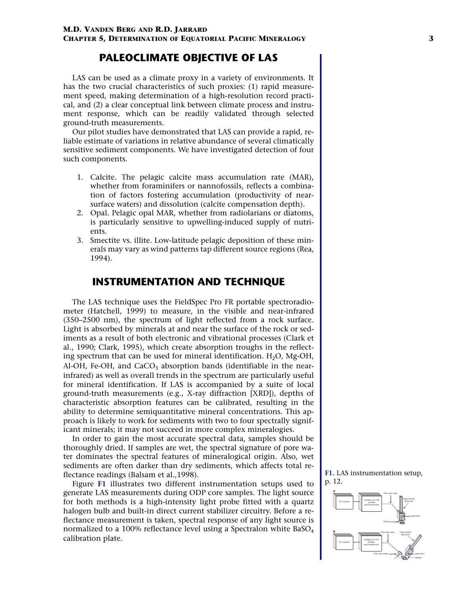#### **M.D. VANDEN BERG AND R.D. JARRARD**

<span id="page-2-0"></span>**CHAPTER 5, DETERMINATION OF EQUATORIAL PACIFIC MINERALOGY 3**

### **PALEOCLIMATE OBJECTIVE OF LAS**

LAS can be used as a climate proxy in a variety of environments. It has the two crucial characteristics of such proxies: (1) rapid measurement speed, making determination of a high-resolution record practical, and (2) a clear conceptual link between climate process and instrument response, which can be readily validated through selected ground-truth measurements.

Our pilot studies have demonstrated that LAS can provide a rapid, reliable estimate of variations in relative abundance of several climatically sensitive sediment components. We have investigated detection of four such components.

- 1. Calcite. The pelagic calcite mass accumulation rate (MAR), whether from foraminifers or nannofossils, reflects a combination of factors fostering accumulation (productivity of nearsurface waters) and dissolution (calcite compensation depth).
- 2. Opal. Pelagic opal MAR, whether from radiolarians or diatoms, is particularly sensitive to upwelling-induced supply of nutrients.
- 3. Smectite vs. illite. Low-latitude pelagic deposition of these minerals may vary as wind patterns tap different source regions (Rea, 1994).

### **INSTRUMENTATION AND TECHNIQUE**

The LAS technique uses the FieldSpec Pro FR portable spectroradiometer (Hatchell, 1999) to measure, in the visible and near-infrared (350–2500 nm), the spectrum of light reflected from a rock surface. Light is absorbed by minerals at and near the surface of the rock or sediments as a result of both electronic and vibrational processes (Clark et al., 1990; Clark, 1995), which create absorption troughs in the reflecting spectrum that can be used for mineral identification.  $H_2O$ , Mg-OH, Al-OH, Fe-OH, and  $CaCO<sub>3</sub>$  absorption bands (identifiable in the nearinfrared) as well as overall trends in the spectrum are particularly useful for mineral identification. If LAS is accompanied by a suite of local ground-truth measurements (e.g., X-ray diffraction [XRD]), depths of characteristic absorption features can be calibrated, resulting in the ability to determine semiquantitative mineral concentrations. This approach is likely to work for sediments with two to four spectrally significant minerals; it may not succeed in more complex mineralogies.

In order to gain the most accurate spectral data, samples should be thoroughly dried. If samples are wet, the spectral signature of pore water dominates the spectral features of mineralogical origin. Also, wet sediments are often darker than dry sediments, which affects total reflectance readings (Balsam et al.,1998).

Figure **[F1](#page-11-0)** illustrates two different instrumentation setups used to generate LAS measurements during ODP core samples. The light source for both methods is a high-intensity light probe fitted with a quartz halogen bulb and built-in direct current stabilizer circuitry. Before a reflectance measurement is taken, spectral response of any light source is normalized to a 100% reflectance level using a Spectralon white BaSO<sub>4</sub> calibration plate.

**[F1.](#page-11-0)** LAS instrumentation setup, p. 12.

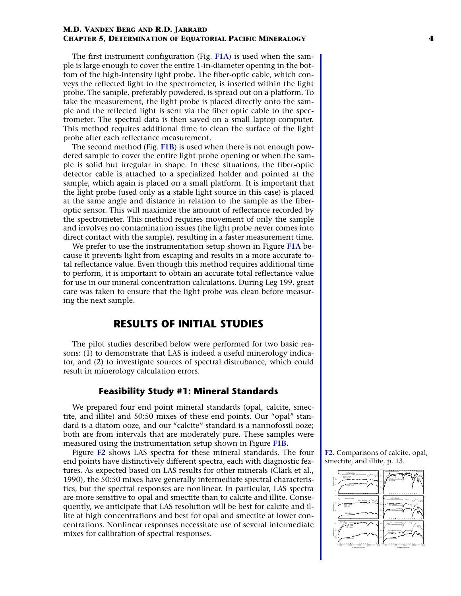The first instrument configuration (Fig. **[F1A](#page-11-0)**) is used when the sample is large enough to cover the entire 1-in-diameter opening in the bottom of the high-intensity light probe. The fiber-optic cable, which conveys the reflected light to the spectrometer, is inserted within the light probe. The sample, preferably powdered, is spread out on a platform. To take the measurement, the light probe is placed directly onto the sample and the reflected light is sent via the fiber optic cable to the spectrometer. The spectral data is then saved on a small laptop computer. This method requires additional time to clean the surface of the light probe after each reflectance measurement.

The second method (Fig. **[F1B](#page-11-0)**) is used when there is not enough powdered sample to cover the entire light probe opening or when the sample is solid but irregular in shape. In these situations, the fiber-optic detector cable is attached to a specialized holder and pointed at the sample, which again is placed on a small platform. It is important that the light probe (used only as a stable light source in this case) is placed at the same angle and distance in relation to the sample as the fiberoptic sensor. This will maximize the amount of reflectance recorded by the spectrometer. This method requires movement of only the sample and involves no contamination issues (the light probe never comes into direct contact with the sample), resulting in a faster measurement time.

We prefer to use the instrumentation setup shown in Figure **[F1A](#page-11-0)** because it prevents light from escaping and results in a more accurate total reflectance value. Even though this method requires additional time to perform, it is important to obtain an accurate total reflectance value for use in our mineral concentration calculations. During Leg 199, great care was taken to ensure that the light probe was clean before measuring the next sample.

# **RESULTS OF INITIAL STUDIES**

The pilot studies described below were performed for two basic reasons: (1) to demonstrate that LAS is indeed a useful minerology indicator, and (2) to investigate sources of spectral distrubance, which could result in minerology calculation errors.

### **Feasibility Study #1: Mineral Standards**

We prepared four end point mineral standards (opal, calcite, smectite, and illite) and 50:50 mixes of these end points. Our "opal" standard is a diatom ooze, and our "calcite" standard is a nannofossil ooze; both are from intervals that are moderately pure. These samples were measured using the instrumentation setup shown in Figure **[F1B.](#page-11-0)**

Figure **[F2](#page-12-0)** shows LAS spectra for these mineral standards. The four end points have distinctively different spectra, each with diagnostic features. As expected based on LAS results for other minerals (Clark et al., 1990), the 50:50 mixes have generally intermediate spectral characteristics, but the spectral responses are nonlinear. In particular, LAS spectra are more sensitive to opal and smectite than to calcite and illite. Consequently, we anticipate that LAS resolution will be best for calcite and illite at high concentrations and best for opal and smectite at lower concentrations. Nonlinear responses necessitate use of several intermediate mixes for calibration of spectral responses.

**[F2.](#page-12-0)** Comparisons of calcite, opal, smectite, and illite, p. 13.

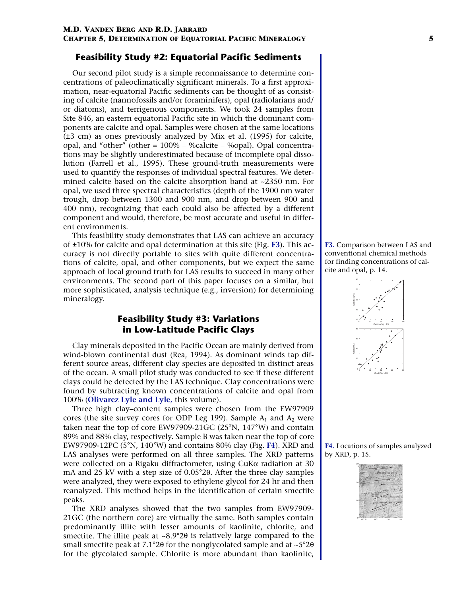### **Feasibility Study #2: Equatorial Pacific Sediments**

Our second pilot study is a simple reconnaissance to determine concentrations of paleoclimatically significant minerals. To a first approximation, near-equatorial Pacific sediments can be thought of as consisting of calcite (nannofossils and/or foraminifers), opal (radiolarians and/ or diatoms), and terrigenous components. We took 24 samples from Site 846, an eastern equatorial Pacific site in which the dominant components are calcite and opal. Samples were chosen at the same locations (±3 cm) as ones previously analyzed by Mix et al. (1995) for calcite, opal, and "other" (other = 100% – %calcite – %opal). Opal concentrations may be slightly underestimated because of incomplete opal dissolution (Farrell et al., 1995). These ground-truth measurements were used to quantify the responses of individual spectral features. We determined calcite based on the calcite absorption band at ~2350 nm. For opal, we used three spectral characteristics (depth of the 1900 nm water trough, drop between 1300 and 900 nm, and drop between 900 and 400 nm), recognizing that each could also be affected by a different component and would, therefore, be most accurate and useful in different environments.

This feasibility study demonstrates that LAS can achieve an accuracy of ±10% for calcite and opal determination at this site (Fig. **[F3](#page-13-0)**). This accuracy is not directly portable to sites with quite different concentrations of calcite, opal, and other components, but we expect the same approach of local ground truth for LAS results to succeed in many other environments. The second part of this paper focuses on a similar, but more sophisticated, analysis technique (e.g., inversion) for determining mineralogy.

### **Feasibility Study #3: Variations in Low-Latitude Pacific Clays**

Clay minerals deposited in the Pacific Ocean are mainly derived from wind-blown continental dust (Rea, 1994). As dominant winds tap different source areas, different clay species are deposited in distinct areas of the ocean. A small pilot study was conducted to see if these different clays could be detected by the LAS technique. Clay concentrations were found by subtracting known concentrations of calcite and opal from 100% (**[Olivarez Lyle and Lyle,](#page-0-2)** this volume).

Three high clay–content samples were chosen from the EW97909 cores (the site survey cores for ODP Leg 199). Sample  $A_1$  and  $A_2$  were taken near the top of core EW97909-21GC (25°N, 147°W) and contain 89% and 88% clay, respectively. Sample B was taken near the top of core EW97909-12PC (5°N, 140°W) and contains 80% clay (Fig. **[F4](#page-14-0)**). XRD and LAS analyses were performed on all three samples. The XRD patterns were collected on a Rigaku diffractometer, using CuKα radiation at 30 mA and 25 kV with a step size of 0.05°2θ. After the three clay samples were analyzed, they were exposed to ethylene glycol for 24 hr and then reanalyzed. This method helps in the identification of certain smectite peaks.

The XRD analyses showed that the two samples from EW97909- 21GC (the northern core) are virtually the same. Both samples contain predominantly illite with lesser amounts of kaolinite, chlorite, and smectite. The illite peak at  $\sim 8.9^{\circ}2\theta$  is relatively large compared to the small smectite peak at 7.1°2θ for the nonglycolated sample and at ~5°2θ for the glycolated sample. Chlorite is more abundant than kaolinite,

**[F3.](#page-13-0)** Comparison between LAS and conventional chemical methods for finding concentrations of calcite and opal, p. 14.



**[F4.](#page-14-0)** Locations of samples analyzed by XRD, p. 15.

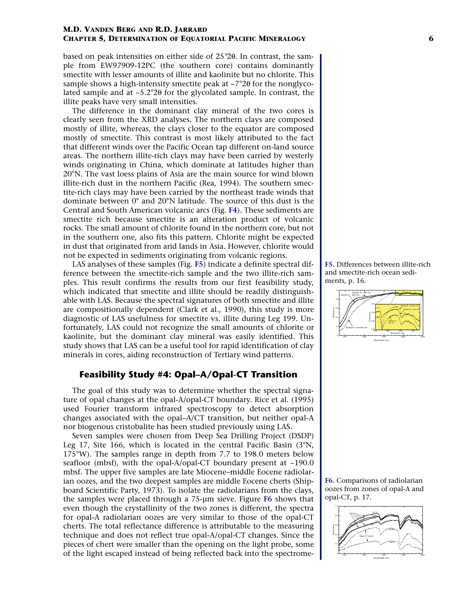based on peak intensities on either side of 25°2θ. In contrast, the sample from EW97909-12PC (the southern core) contains dominantly smectite with lesser amounts of illite and kaolinite but no chlorite. This sample shows a high-intensity smectite peak at ~7°2θ for the nonglycolated sample and at ~5.2°2θ for the glycolated sample. In contrast, the illite peaks have very small intensities.

The difference in the dominant clay mineral of the two cores is clearly seen from the XRD analyses. The northern clays are composed mostly of illite, whereas, the clays closer to the equator are composed mostly of smectite. This contrast is most likely attributed to the fact that different winds over the Pacific Ocean tap different on-land source areas. The northern illite-rich clays may have been carried by westerly winds originating in China, which dominate at latitudes higher than 20°N. The vast loess plains of Asia are the main source for wind blown illite-rich dust in the northern Pacific (Rea, 1994). The southern smectite-rich clays may have been carried by the northeast trade winds that dominate between 0° and 20°N latitude. The source of this dust is the Central and South American volcanic arcs (Fig. **[F4](#page-14-0)**). These sediments are smectite rich because smectite is an alteration product of volcanic rocks. The small amount of chlorite found in the northern core, but not in the southern one, also fits this pattern. Chlorite might be expected in dust that originated from arid lands in Asia. However, chlorite would not be expected in sediments originating from volcanic regions.

LAS analyses of these samples (Fig. **[F5](#page-15-0)**) indicate a definite spectral difference between the smectite-rich sample and the two illite-rich samples. This result confirms the results from our first feasibility study, which indicated that smectite and illite should be readily distinguishable with LAS. Because the spectral signatures of both smectite and illite are compositionally dependent (Clark et al., 1990), this study is more diagnostic of LAS usefulness for smectite vs. illite during Leg 199. Unfortunately, LAS could not recognize the small amounts of chlorite or kaolinite, but the dominant clay mineral was easily identified. This study shows that LAS can be a useful tool for rapid identification of clay minerals in cores, aiding reconstruction of Tertiary wind patterns.

### **Feasibility Study #4: Opal–A/Opal-CT Transition**

The goal of this study was to determine whether the spectral signature of opal changes at the opal-A/opal-CT boundary. Rice et al. (1995) used Fourier transform infrared spectroscopy to detect absorption changes associated with the opal–A/CT transition, but neither opal-A nor biogenous cristobalite has been studied previously using LAS.

Seven samples were chosen from Deep Sea Drilling Project (DSDP) Leg 17, Site 166, which is located in the central Pacific Basin (3°N, 175°W). The samples range in depth from 7.7 to 198.0 meters below seafloor (mbsf), with the opal-A/opal-CT boundary present at ~190.0 mbsf. The upper five samples are late Miocene–middle Eocene radiolarian oozes, and the two deepest samples are middle Eocene cherts (Shipboard Scientific Party, 1973). To isolate the radiolarians from the clays, the samples were placed through a 75-µm sieve. Figure **[F6](#page-16-0)** shows that even though the crystallinity of the two zones is different, the spectra for opal-A radiolarian oozes are very similar to those of the opal-CT cherts. The total reflectance difference is attributable to the measuring technique and does not reflect true opal-A/opal-CT changes. Since the pieces of chert were smaller than the opening on the light probe, some of the light escaped instead of being reflected back into the spectrome-

**[F5.](#page-15-0)** Differences between illite-rich and smectite-rich ocean sediments, p. 16.



**[F6.](#page-16-0)** Comparisons of radiolarian oozes from zones of opal-A and opal-CT, p. 17.

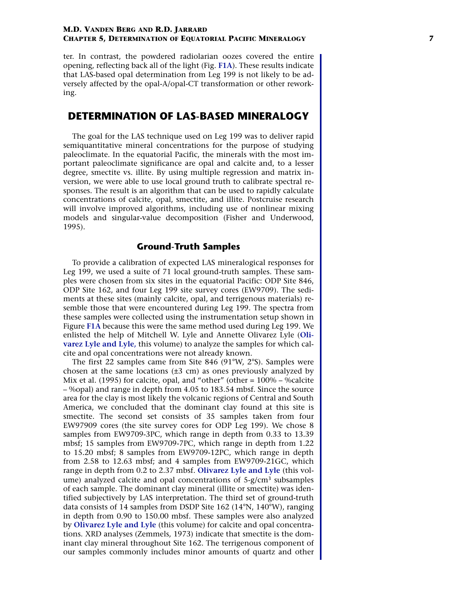ter. In contrast, the powdered radiolarian oozes covered the entire opening, reflecting back all of the light (Fig. **[F1A](#page-11-0)**). These results indicate that LAS-based opal determination from Leg 199 is not likely to be adversely affected by the opal-A/opal-CT transformation or other reworking.

### **DETERMINATION OF LAS-BASED MINERALOGY**

The goal for the LAS technique used on Leg 199 was to deliver rapid semiquantitative mineral concentrations for the purpose of studying paleoclimate. In the equatorial Pacific, the minerals with the most important paleoclimate significance are opal and calcite and, to a lesser degree, smectite vs. illite. By using multiple regression and matrix inversion, we were able to use local ground truth to calibrate spectral responses. The result is an algorithm that can be used to rapidly calculate concentrations of calcite, opal, smectite, and illite. Postcruise research will involve improved algorithms, including use of nonlinear mixing models and singular-value decomposition (Fisher and Underwood, 1995).

### **Ground-Truth Samples**

To provide a calibration of expected LAS mineralogical responses for Leg 199, we used a suite of 71 local ground-truth samples. These samples were chosen from six sites in the equatorial Pacific: ODP Site 846, ODP Site 162, and four Leg 199 site survey cores (EW9709). The sediments at these sites (mainly calcite, opal, and terrigenous materials) resemble those that were encountered during Leg 199. The spectra from these samples were collected using the instrumentation setup shown in Figure **[F1A](#page-11-0)** because this were the same method used during Leg 199. We enlisted the help of Mitchell W. Lyle and Annette Olivarez Lyle (**[Oli](#page-0-2)[varez Lyle and Lyle,](#page-0-2)** this volume) to analyze the samples for which calcite and opal concentrations were not already known.

The first 22 samples came from Site 846 (91°W, 2°S). Samples were chosen at the same locations  $(\pm 3 \text{ cm})$  as ones previously analyzed by Mix et al. (1995) for calcite, opal, and "other" (other = 100% – %calcite – %opal) and range in depth from 4.05 to 183.54 mbsf. Since the source area for the clay is most likely the volcanic regions of Central and South America, we concluded that the dominant clay found at this site is smectite. The second set consists of 35 samples taken from four EW97909 cores (the site survey cores for ODP Leg 199). We chose 8 samples from EW9709-3PC, which range in depth from 0.33 to 13.39 mbsf; 15 samples from EW9709-7PC, which range in depth from 1.22 to 15.20 mbsf; 8 samples from EW9709-12PC, which range in depth from 2.58 to 12.63 mbsf; and 4 samples from EW9709-21GC, which range in depth from 0.2 to 2.37 mbsf. **[Olivarez Lyle and Lyle](#page-0-2)** (this volume) analyzed calcite and opal concentrations of 5-g/cm<sup>3</sup> subsamples of each sample. The dominant clay mineral (illite or smectite) was identified subjectively by LAS interpretation. The third set of ground-truth data consists of 14 samples from DSDP Site 162 (14°N, 140°W), ranging in depth from 0.90 to 150.00 mbsf. These samples were also analyzed by **[Olivarez Lyle and Lyle](#page-0-2)** (this volume) for calcite and opal concentrations. XRD analyses (Zemmels, 1973) indicate that smectite is the dominant clay mineral throughout Site 162. The terrigenous component of our samples commonly includes minor amounts of quartz and other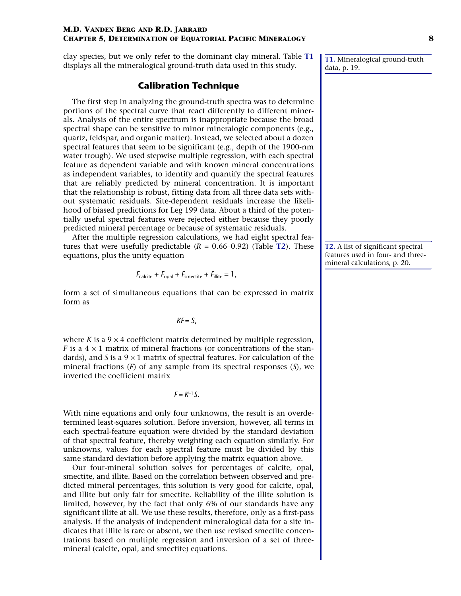clay species, but we only refer to the dominant clay mineral. Table **[T1](#page-18-0)** displays all the mineralogical ground-truth data used in this study.

### **Calibration Technique**

The first step in analyzing the ground-truth spectra was to determine portions of the spectral curve that react differently to different minerals. Analysis of the entire spectrum is inappropriate because the broad spectral shape can be sensitive to minor mineralogic components (e.g., quartz, feldspar, and organic matter). Instead, we selected about a dozen spectral features that seem to be significant (e.g., depth of the 1900-nm water trough). We used stepwise multiple regression, with each spectral feature as dependent variable and with known mineral concentrations as independent variables, to identify and quantify the spectral features that are reliably predicted by mineral concentration. It is important that the relationship is robust, fitting data from all three data sets without systematic residuals. Site-dependent residuals increase the likelihood of biased predictions for Leg 199 data. About a third of the potentially useful spectral features were rejected either because they poorly predicted mineral percentage or because of systematic residuals.

After the multiple regression calculations, we had eight spectral features that were usefully predictable  $(R = 0.66{\text -}0.92)$  (Table **[T2](#page-19-0)**). These equations, plus the unity equation

$$
F_{\text{calculate}} + F_{\text{opal}} + F_{\text{smective}} + F_{\text{illite}} = 1,
$$

form a set of simultaneous equations that can be expressed in matrix form as

*KF* = *S*,

where *K* is a  $9 \times 4$  coefficient matrix determined by multiple regression, *F* is a  $4 \times 1$  matrix of mineral fractions (or concentrations of the standards), and *S* is a  $9 \times 1$  matrix of spectral features. For calculation of the mineral fractions (*F*) of any sample from its spectral responses (*S*), we inverted the coefficient matrix

 $F = K^{-1}S$ .

With nine equations and only four unknowns, the result is an overdetermined least-squares solution. Before inversion, however, all terms in each spectral-feature equation were divided by the standard deviation of that spectral feature, thereby weighting each equation similarly. For unknowns, values for each spectral feature must be divided by this same standard deviation before applying the matrix equation above.

Our four-mineral solution solves for percentages of calcite, opal, smectite, and illite. Based on the correlation between observed and predicted mineral percentages, this solution is very good for calcite, opal, and illite but only fair for smectite. Reliability of the illite solution is limited, however, by the fact that only 6% of our standards have any significant illite at all. We use these results, therefore, only as a first-pass analysis. If the analysis of independent mineralogical data for a site indicates that illite is rare or absent, we then use revised smectite concentrations based on multiple regression and inversion of a set of threemineral (calcite, opal, and smectite) equations.

**[T1.](#page-18-0)** Mineralogical ground-truth data, p. 19.

**[T2.](#page-19-0)** A list of significant spectral features used in four- and threemineral calculations, p. 20.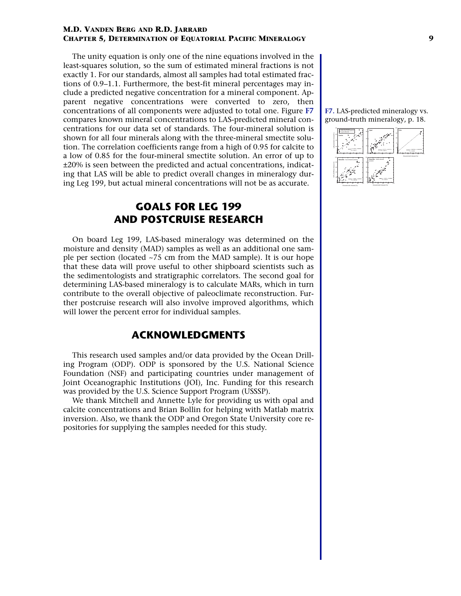The unity equation is only one of the nine equations involved in the least-squares solution, so the sum of estimated mineral fractions is not exactly 1. For our standards, almost all samples had total estimated fractions of 0.9–1.1. Furthermore, the best-fit mineral percentages may include a predicted negative concentration for a mineral component. Apparent negative concentrations were converted to zero, then concentrations of all components were adjusted to total one. Figure **[F7](#page-17-0)** compares known mineral concentrations to LAS-predicted mineral concentrations for our data set of standards. The four-mineral solution is shown for all four minerals along with the three-mineral smectite solution. The correlation coefficients range from a high of 0.95 for calcite to a low of 0.85 for the four-mineral smectite solution. An error of up to ±20% is seen between the predicted and actual concentrations, indicating that LAS will be able to predict overall changes in mineralogy during Leg 199, but actual mineral concentrations will not be as accurate.

# **GOALS FOR LEG 199 AND POSTCRUISE RESEARCH**

On board Leg 199, LAS-based mineralogy was determined on the moisture and density (MAD) samples as well as an additional one sample per section (located ~75 cm from the MAD sample). It is our hope that these data will prove useful to other shipboard scientists such as the sedimentologists and stratigraphic correlators. The second goal for determining LAS-based mineralogy is to calculate MARs, which in turn contribute to the overall objective of paleoclimate reconstruction. Further postcruise research will also involve improved algorithms, which will lower the percent error for individual samples.

## **ACKNOWLEDGMENTS**

This research used samples and/or data provided by the Ocean Drilling Program (ODP). ODP is sponsored by the U.S. National Science Foundation (NSF) and participating countries under management of Joint Oceanographic Institutions (JOI), Inc. Funding for this research was provided by the U.S. Science Support Program (USSSP).

We thank Mitchell and Annette Lyle for providing us with opal and calcite concentrations and Brian Bollin for helping with Matlab matrix inversion. Also, we thank the ODP and Oregon State University core repositories for supplying the samples needed for this study.

#### **[F7.](#page-17-0)** LAS-predicted mineralogy vs. ground-truth mineralogy, p. 18.

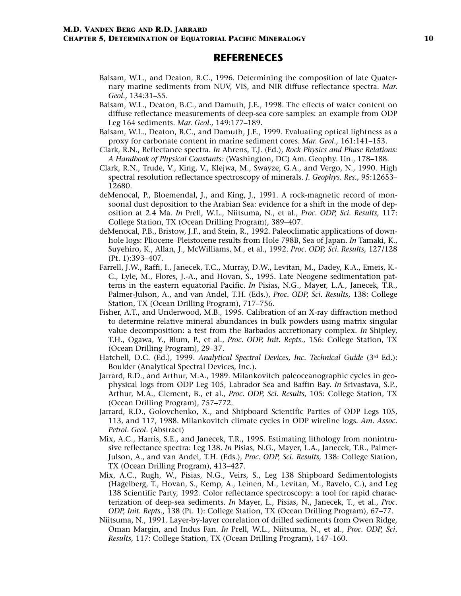### **REFERENECES**

- Balsam, W.L., and Deaton, B.C., 1996. Determining the composition of late Quaternary marine sediments from NUV, VIS, and NIR diffuse reflectance spectra. *Mar. Geol.,* 134:31–55.
- Balsam, W.L., Deaton, B.C., and Damuth, J.E., 1998. The effects of water content on diffuse reflectance measurements of deep-sea core samples: an example from ODP Leg 164 sediments. *Mar. Geol.,* 149:177–189.
- Balsam, W.L., Deaton, B.C., and Damuth, J.E., 1999. Evaluating optical lightness as a proxy for carbonate content in marine sediment cores. *Mar. Geol.,* 161:141–153.
- Clark, R.N., Reflectance spectra. *In* Ahrens, T.J. (Ed.), *Rock Physics and Phase Relations: A Handbook of Physical Constants:* (Washington, DC) Am. Geophy. Un., 178–188.
- Clark, R.N., Trude, V., King, V., Klejwa, M., Swayze, G.A., and Vergo, N., 1990. High spectral resolution reflectance spectroscopy of minerals. *J. Geophys. Res.,* 95:12653– 12680.
- deMenocal, P., Bloemendal, J., and King, J., 1991. A rock-magnetic record of monsoonal dust deposition to the Arabian Sea: evidence for a shift in the mode of deposition at 2.4 Ma. *In* Prell, W.L., Niitsuma, N., et al., *Proc. ODP, Sci. Results,* 117: College Station, TX (Ocean Drilling Program), 389–407.
- deMenocal, P.B., Bristow, J.F., and Stein, R., 1992. Paleoclimatic applications of downhole logs: Pliocene–Pleistocene results from Hole 798B, Sea of Japan. *In* Tamaki, K., Suyehiro, K., Allan, J., McWilliams, M., et al., 1992. *Proc. ODP, Sci. Results,* 127/128 (Pt. 1):393–407.
- Farrell, J.W., Raffi, I., Janecek, T.C., Murray, D.W., Levitan, M., Dadey, K.A., Emeis, K.- C., Lyle, M., Flores, J.-A., and Hovan, S., 1995. Late Neogene sedimentation patterns in the eastern equatorial Pacific. *In* Pisias, N.G., Mayer, L.A., Janecek, T.R., Palmer-Julson, A., and van Andel, T.H. (Eds.), *Proc. ODP, Sci. Results,* 138: College Station, TX (Ocean Drilling Program), 717–756.
- Fisher, A.T., and Underwood, M.B., 1995. Calibration of an X-ray diffraction method to determine relative mineral abundances in bulk powders using matrix singular value decomposition: a test from the Barbados accretionary complex. *In* Shipley, T.H., Ogawa, Y., Blum, P., et al., *Proc. ODP, Init. Repts.,* 156: College Station, TX (Ocean Drilling Program), 29–37.
- Hatchell, D.C. (Ed.), 1999. *Analytical Spectral Devices, Inc. Technical Guide* (3rd Ed.): Boulder (Analytical Spectral Devices, Inc.).
- Jarrard, R.D., and Arthur, M.A., 1989. Milankovitch paleoceanographic cycles in geophysical logs from ODP Leg 105, Labrador Sea and Baffin Bay. *In* Srivastava, S.P., Arthur, M.A., Clement, B., et al., *Proc. ODP, Sci. Results,* 105: College Station, TX (Ocean Drilling Program), 757–772.
- Jarrard, R.D., Golovchenko, X., and Shipboard Scientific Parties of ODP Legs 105, 113, and 117, 1988. Milankovitch climate cycles in ODP wireline logs. *Am. Assoc. Petrol. Geol.* (Abstract)
- Mix, A.C., Harris, S.E., and Janecek, T.R., 1995. Estimating lithology from nonintrusive reflectance spectra: Leg 138. *In* Pisias, N.G., Mayer, L.A., Janecek, T.R., Palmer-Julson, A., and van Andel, T.H. (Eds.), *Proc. ODP, Sci. Results,* 138: College Station, TX (Ocean Drilling Program), 413–427.
- Mix, A.C., Rugh, W., Pisias, N.G., Veirs, S., Leg 138 Shipboard Sedimentologists (Hagelberg, T., Hovan, S., Kemp, A., Leinen, M., Levitan, M., Ravelo, C.), and Leg 138 Scientific Party, 1992. Color reflectance spectroscopy: a tool for rapid characterization of deep-sea sediments. *In* Mayer, L., Pisias, N., Janecek, T., et al., *Proc. ODP, Init. Repts.,* 138 (Pt. 1): College Station, TX (Ocean Drilling Program), 67–77.
- Niitsuma, N., 1991. Layer-by-layer correlation of drilled sediments from Owen Ridge, Oman Margin, and Indus Fan. *In* Prell, W.L., Niitsuma, N., et al., *Proc. ODP, Sci. Results,* 117: College Station, TX (Ocean Drilling Program), 147–160.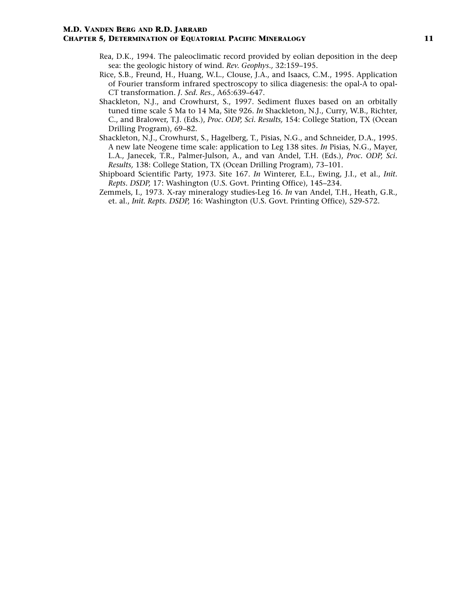- Rea, D.K., 1994. The paleoclimatic record provided by eolian deposition in the deep sea: the geologic history of wind. *Rev. Geophys.,* 32:159–195.
- Rice, S.B., Freund, H., Huang, W.L., Clouse, J.A., and Isaacs, C.M., 1995. Application of Fourier transform infrared spectroscopy to silica diagenesis: the opal-A to opal-CT transformation. *J. Sed. Res.,* A65:639–647.
- Shackleton, N.J., and Crowhurst, S., 1997. Sediment fluxes based on an orbitally tuned time scale 5 Ma to 14 Ma, Site 926. *In* Shackleton, N.J., Curry, W.B., Richter, C., and Bralower, T.J. (Eds.), *Proc. ODP, Sci. Results,* 154: College Station, TX (Ocean Drilling Program), 69–82.
- Shackleton, N.J., Crowhurst, S., Hagelberg, T., Pisias, N.G., and Schneider, D.A., 1995. A new late Neogene time scale: application to Leg 138 sites. *In* Pisias, N.G., Mayer, L.A., Janecek, T.R., Palmer-Julson, A., and van Andel, T.H. (Eds.), *Proc. ODP, Sci. Results,* 138: College Station, TX (Ocean Drilling Program), 73–101.
- Shipboard Scientific Party, 1973. Site 167. *In* Winterer, E.L., Ewing, J.I., et al., *Init. Repts. DSDP,* 17: Washington (U.S. Govt. Printing Office), 145–234.
- Zemmels, I., 1973. X-ray mineralogy studies-Leg 16. *In* van Andel, T.H., Heath, G.R., et. al., *Init. Repts. DSDP,* 16: Washington (U.S. Govt. Printing Office), 529-572.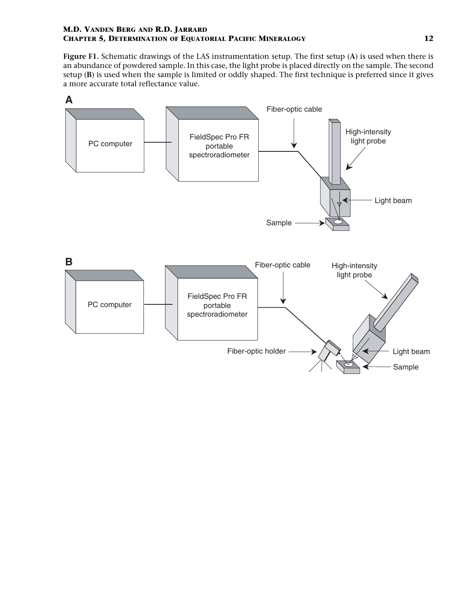<span id="page-11-0"></span>**Figure F1.** Schematic drawings of the LAS instrumentation setup. The first setup (**A**) is used when there is an abundance of powdered sample. In this case, the light probe is placed directly on the sample. The second setup (**B**) is used when the sample is limited or oddly shaped. The first technique is preferred since it gives a more accurate total reflectance value.

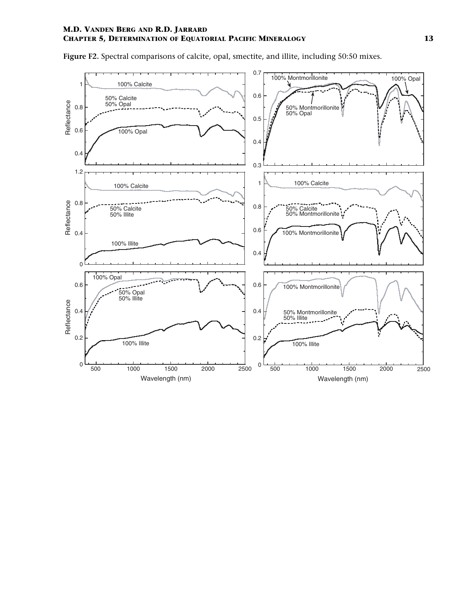

<span id="page-12-0"></span>**Figure F2.** Spectral comparisons of calcite, opal, smectite, and illite, including 50:50 mixes.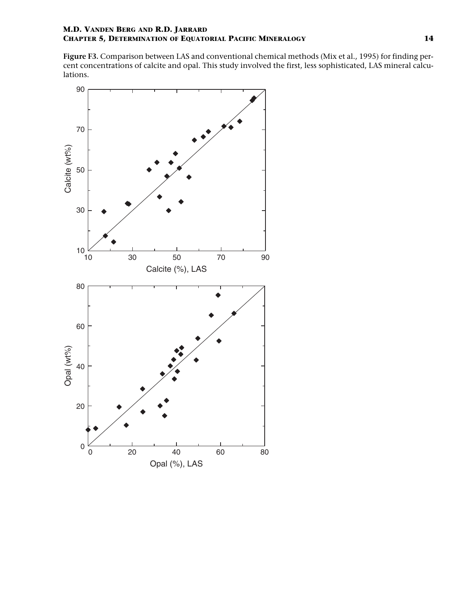<span id="page-13-0"></span>**Figure F3.** Comparison between LAS and conventional chemical methods (Mix et al., 1995) for finding percent concentrations of calcite and opal. This study involved the first, less sophisticated, LAS mineral calculations.

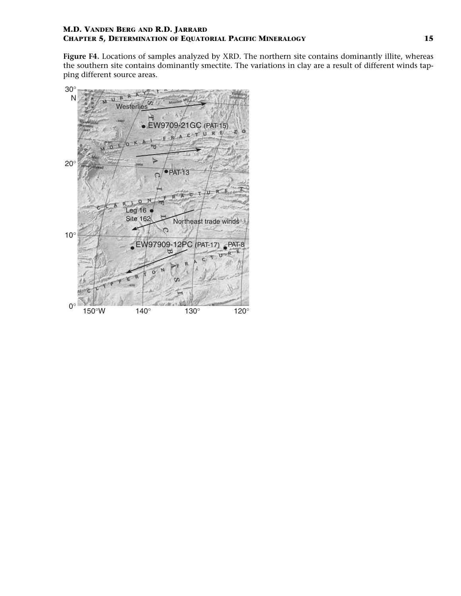<span id="page-14-0"></span>**Figure F4.** Locations of samples analyzed by XRD. The northern site contains dominantly illite, whereas the southern site contains dominantly smectite. The variations in clay are a result of different winds tapping different source areas.

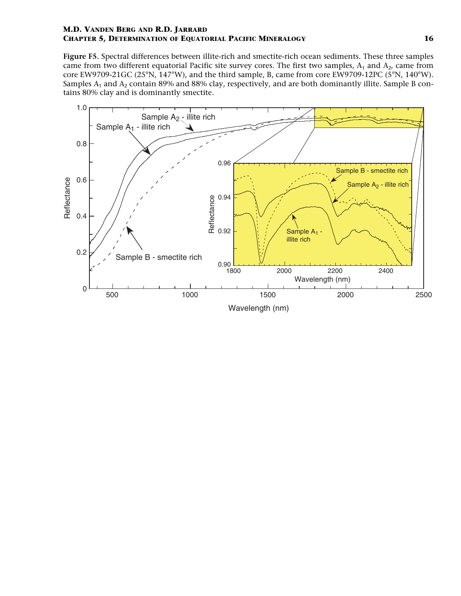<span id="page-15-0"></span>**Figure F5.** Spectral differences between illite-rich and smectite-rich ocean sediments. These three samples came from two different equatorial Pacific site survey cores. The first two samples,  $A_1$  and  $A_2$ , came from core EW9709-21GC (25°N, 147°W), and the third sample, B, came from core EW9709-12PC (5°N, 140°W). Samples  $A_1$  and  $A_2$  contain 89% and 88% clay, respectively, and are both dominantly illite. Sample B contains 80% clay and is dominantly smectite.

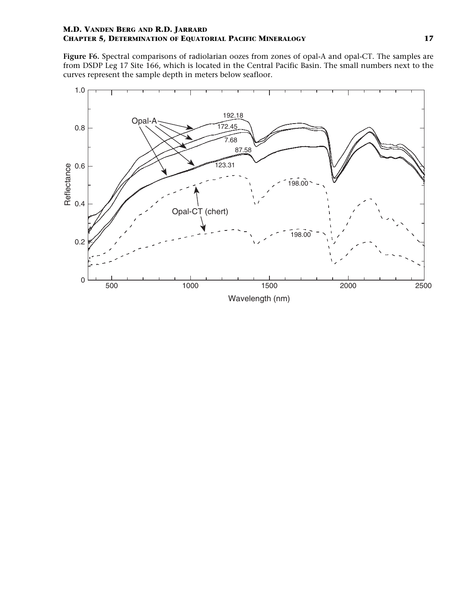<span id="page-16-0"></span>**Figure F6.** Spectral comparisons of radiolarian oozes from zones of opal-A and opal-CT. The samples are from DSDP Leg 17 Site 166, which is located in the Central Pacific Basin. The small numbers next to the curves represent the sample depth in meters below seafloor.

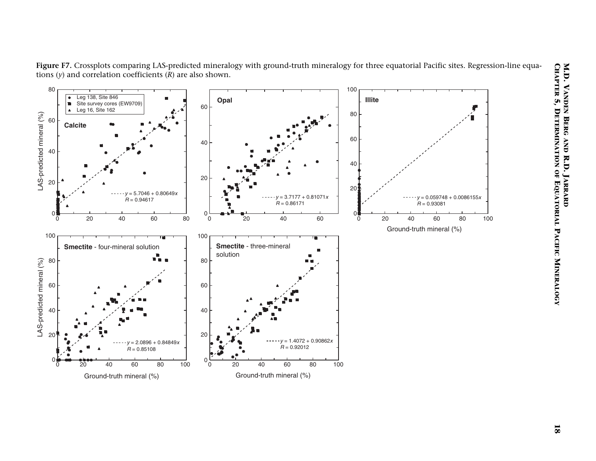



<span id="page-17-0"></span>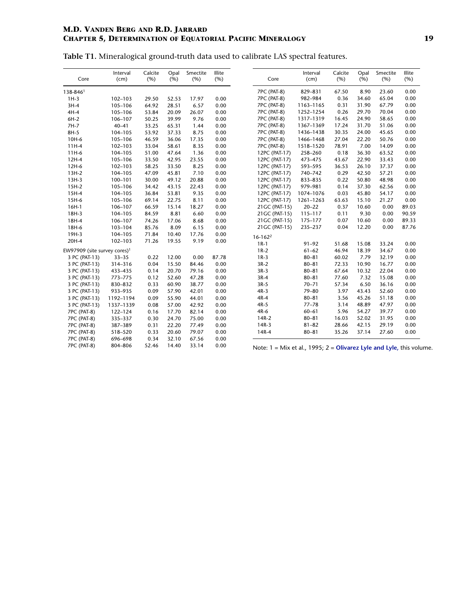<span id="page-18-0"></span>**Table T1.** Mineralogical ground-truth data used to calibrate LAS spectral features.

| Core                                     | Interval<br>(cm) | Calcite<br>(%) | Opal<br>(% ) | Smectite<br>(% ) | Illite<br>(%) | Core                                                                  | Interval<br>(cm) | Calcite<br>(% ) | Opal<br>(%) | Smectite<br>(% ) | Illite<br>(%) |
|------------------------------------------|------------------|----------------|--------------|------------------|---------------|-----------------------------------------------------------------------|------------------|-----------------|-------------|------------------|---------------|
| 138-8461                                 |                  |                |              |                  |               | <b>7PC (PAT-8)</b>                                                    | 829-831          | 67.50           | 8.90        | 23.60            | 0.00          |
| $1H-3$                                   | 102-103          | 29.50          | 52.53        | 17.97            | 0.00          | 7PC (PAT-8)                                                           | 982-984          | 0.36            | 34.60       | 65.04            | 0.00          |
| $3H-4$                                   | 105-106          | 64.92          | 28.51        | 6.57             | 0.00          | 7PC (PAT-8)                                                           | 1163-1165        | 0.31            | 31.90       | 67.79            | 0.00          |
| $4H-4$                                   | 105-106          | 53.84          | 20.09        | 26.07            | 0.00          | <b>7PC (PAT-8)</b>                                                    | 1252-1254        | 0.26            | 29.70       | 70.04            | 0.00          |
| $6H-2$                                   | 106-107          | 50.25          | 39.99        | 9.76             | 0.00          | 7PC (PAT-8)                                                           | 1317-1319        | 16.45           | 24.90       | 58.65            | 0.00          |
| 7H-7                                     | $40 - 41$        | 33.25          | 65.31        | 1.44             | 0.00          | 7PC (PAT-8)                                                           | 1367-1369        | 17.24           | 31.70       | 51.06            | 0.00          |
| 8H-5                                     | 104-105          | 53.92          | 37.33        | 8.75             | 0.00          | 7PC (PAT-8)                                                           | 1436-1438        | 30.35           | 24.00       | 45.65            | 0.00          |
| 10H-6                                    | 105-106          | 46.59          | 36.06        | 17.35            | 0.00          | 7PC (PAT-8)                                                           | 1466-1468        | 27.04           | 22.20       | 50.76            | 0.00          |
| 11H-4                                    | 102-103          | 33.04          | 58.61        | 8.35             | 0.00          | 7PC (PAT-8)                                                           | 1518-1520        | 78.91           | 7.00        | 14.09            | 0.00          |
| $11H-6$                                  | 104-105          | 51.00          | 47.64        | 1.36             | 0.00          | 12PC (PAT-17)                                                         | 258-260          | 0.18            | 36.30       | 63.52            | 0.00          |
| 12H-4                                    | 105-106          | 33.50          | 42.95        | 23.55            | 0.00          | 12PC (PAT-17)                                                         | 473-475          | 43.67           | 22.90       | 33.43            | 0.00          |
| 12H-6                                    | 102-103          | 58.25          | 33.50        | 8.25             | 0.00          | 12PC (PAT-17)                                                         | 593-595          | 36.53           | 26.10       | 37.37            | 0.00          |
| $13H-2$                                  | 104-105          | 47.09          | 45.81        | 7.10             | 0.00          | 12PC (PAT-17)                                                         | 740-742          | 0.29            | 42.50       | 57.21            | 0.00          |
| $13H-3$                                  | 100-101          | 30.00          | 49.12        | 20.88            | 0.00          | 12PC (PAT-17)                                                         | 833-835          | 0.22            | 50.80       | 48.98            | 0.00          |
| $15H-2$                                  | 105-106          | 34.42          | 43.15        | 22.43            | 0.00          | 12PC (PAT-17)                                                         | 979-981          | 0.14            | 37.30       | 62.56            | 0.00          |
| 15H-4                                    | 104-105          | 36.84          | 53.81        | 9.35             | 0.00          | 12PC (PAT-17)                                                         | 1074-1076        | 0.03            | 45.80       | 54.17            | 0.00          |
| $15H-6$                                  | 105-106          | 69.14          | 22.75        | 8.11             | 0.00          | 12PC (PAT-17)                                                         | 1261-1263        | 63.63           | 15.10       | 21.27            | 0.00          |
| $16H-1$                                  | 106-107          | 66.59          | 15.14        | 18.27            | 0.00          | 21 GC (PAT-15)                                                        | $20 - 22$        | 0.37            | 10.60       | 0.00             | 89.03         |
| 18H-3                                    | 104-105          | 84.59          | 8.81         | 6.60             | 0.00          | 21 GC (PAT-15)                                                        | 115-117          | 0.11            | 9.30        | 0.00             | 90.59         |
| 18H-4                                    | 106-107          | 74.26          | 17.06        | 8.68             | 0.00          | 21 GC (PAT-15)                                                        | 175-177          | 0.07            | 10.60       | 0.00             | 89.33         |
| 18H-6                                    | 103-104          | 85.76          | 8.09         | 6.15             | 0.00          | 21 GC (PAT-15)                                                        | 235-237          | 0.04            | 12.20       | 0.00             | 87.76         |
| 19H-3                                    | 104-105          | 71.84          | 10.40        | 17.76            | 0.00          | $16-162^2$                                                            |                  |                 |             |                  |               |
| 20H-4                                    | 102-103          | 71.26          | 19.55        | 9.19             | 0.00          | $1R-1$                                                                | $91 - 92$        | 51.68           | 15.08       | 33.24            | 0.00          |
| EW97909 (site survey cores) <sup>1</sup> |                  |                |              |                  |               | $1R-2$                                                                | $61 - 62$        | 46.94           | 18.39       | 34.67            | 0.00          |
| 3 PC (PAT-13)                            | $33 - 35$        | 0.22           | 12.00        | 0.00             | 87.78         | $1R-3$                                                                | $80 - 81$        | 60.02           | 7.79        | 32.19            | 0.00          |
| 3 PC (PAT-13)                            | 314-316          | 0.04           | 15.50        | 84.46            | 0.00          | $3R-2$                                                                | $80 - 81$        | 72.33           | 10.90       | 16.77            | 0.00          |
| 3 PC (PAT-13)                            | 433-435          | 0.14           | 20.70        | 79.16            | 0.00          | $3R-3$                                                                | $80 - 81$        | 67.64           | 10.32       | 22.04            | 0.00          |
| 3 PC (PAT-13)                            | 773-775          | 0.12           | 52.60        | 47.28            | 0.00          | $3R-4$                                                                | $80 - 81$        | 77.60           | 7.32        | 15.08            | 0.00          |
| 3 PC (PAT-13)                            | 830-832          | 0.33           | 60.90        | 38.77            | 0.00          | $3R-5$                                                                | $70 - 71$        | 57.34           | 6.50        | 36.16            | 0.00          |
| 3 PC (PAT-13)                            | 933-935          | 0.09           | 57.90        | 42.01            | 0.00          | $4R-3$                                                                | 79-80            | 3.97            | 43.43       | 52.60            | 0.00          |
| 3 PC (PAT-13)                            | 1192-1194        | 0.09           | 55.90        | 44.01            | 0.00          | $4R-4$                                                                | $80 - 81$        | 3.56            | 45.26       | 51.18            | 0.00          |
| 3 PC (PAT-13)                            | 1337-1339        | 0.08           | 57.00        | 42.92            | 0.00          | 4R-5                                                                  | $77 - 78$        | 3.14            | 48.89       | 47.97            | 0.00          |
| 7PC (PAT-8)                              | 122-124          | 0.16           | 17.70        | 82.14            | 0.00          | 4R-6                                                                  | $60 - 61$        | 5.96            | 54.27       | 39.77            | 0.00          |
| 7PC (PAT-8)                              | 335-337          | 0.30           | 24.70        | 75.00            | 0.00          | 14R-2                                                                 | $80 - 81$        | 16.03           | 52.02       | 31.95            | 0.00          |
| 7PC (PAT-8)                              | 387-389          | 0.31           | 22.20        | 77.49            | 0.00          | $14R-3$                                                               | $81 - 82$        | 28.66           | 42.15       | 29.19            | 0.00          |
| 7PC (PAT-8)                              | 518-520          | 0.33           | 20.60        | 79.07            | 0.00          | 14R-4                                                                 | $80 - 81$        | 35.26           | 37.14       | 27.60            | 0.00          |
| 7PC (PAT-8)                              | 696-698          | 0.34           | 32.10        | 67.56            | 0.00          |                                                                       |                  |                 |             |                  |               |
| 7PC (PAT-8)                              | 804-806          | 52.46          | 14.40        | 33.14            | 0.00          | Note: $1 -$ Mix et al. $1005: 2 -$ Oliverez Lyle and Lyle, this volu- |                  |                 |             |                  |               |

Note: 1 = Mix et al., 1995; 2 = **Olivarez Lyle and Lyle**, this volume.